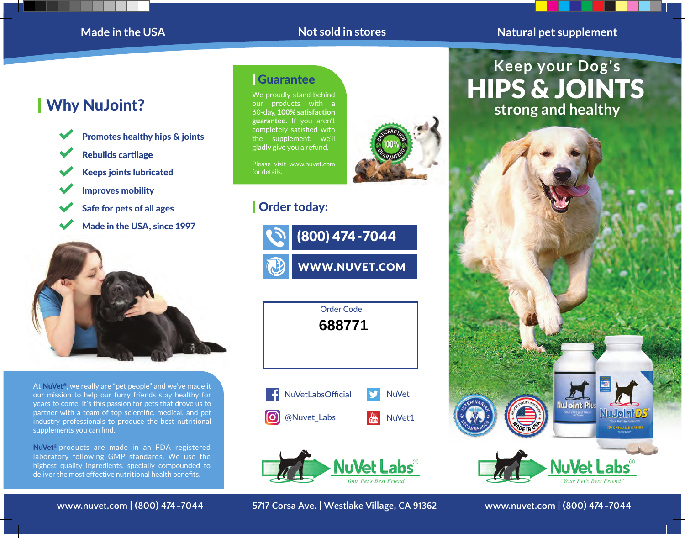## **Made in the USA**

## **Not sold in stores Natural pet supplement**

# Why NuJoint?



- **Rebuilds cartilage**
- Keeps joints lubricated
- Improves mobility
- Safe for pets of all ages
- Made in the USA, since 1997



At NuVet®, we really are "pet people" and we've made it our mission to help our furry friends stay healthy for years to come. It's this passion for pets that drove us to partner with a team of top scientific, medical, and pet industry professionals to produce the best nutritional supplements you can find.

NuVet<sup>®</sup> products are made in an FDA registered laboratory following GMP standards. We use the highest quality ingredients, specially compounded to deliver the most effective nutritional health benefits.

**Guarantee** 

We proudly stand behind our products with a 60-day, **100% satisfaction guarantee.** If you aren't completely satisfied with the supplement, we'll gladly give you a refund.

Please visit www.nuvet.com for details.

# Order today:







**www.nuvet.com | (800) 474-7044 5717 Corsa Ave. | Westlake Village, CA 91362 www.nuvet.com | (800) 474-7044**

**Keep your Dog's strong and healthy** HIPS & JOINTS